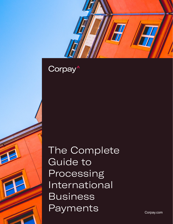

The Complete Guide to Processing International Business Payments

Corpay.com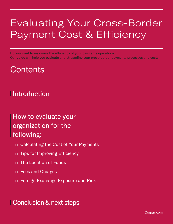# Evaluating Your Cross-Border Payment Cost & Efficiency

Do you want to maximize the efficiency of your payments operation? Our guide will help you evaluate and streamline your cross-border payments processes and costs.

## **Contents**

### **Introduction**

### How to evaluate your organization for the following:

- □ Calculating the Cost of Your Payments
- □ Tips for Improving Efficiency
- $\neg$  The Location of Funds
- □ Fees and Charges
- □ Foreign Exchange Exposure and Risk

### Conclusion & next steps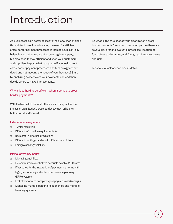## Introduction

As businesses gain better access to the global marketplace through technological advances, the need for efficient cross-border payment processes is increasing. It's a tricky balancing act when you want to be an agile company, but also need to stay efficient and keep your customers and suppliers happy. What can you do if you feel current cross-border payment processes and technology are outdated and not meeting the needs of your business? Start by analyzing how efficient your payments are, and then decide where to make improvements.

#### Why is it so hard to be efficient when it comes to crossborder payments?

With the best will in the world, there are so many factors that impact an organization's cross-border payment efficiency – both external and internal.

#### External factors may include:

- □ Tighter regulation
- □ Different information requirements for
- □ payments in different jurisdictions
- □ Different banking standards in different jurisdictions
- □ Foreign exchange volatility

#### Internal factors may include:

- □ Managing cash flow
- □ De-centralized vs centralized accounts payable (AP) teams
- □ IT resource for the integration of payment platforms with legacy accounting and enterprise resource planning (ERP) systems
- □ Lack of visibility and transparency on payment costs & charges
- □ Managing multiple banking relationships and multiple banking systems

So what is the true cost of your organization's crossborder payments? In order to get a full picture there are several key areas to evaluate: processes, location of funds, fees and charges, and foreign exchange exposure and risk.

Let's take a look at each one in detail.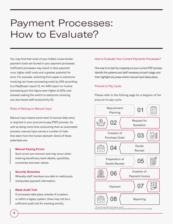# Payment Processes: How to Evaluate?

You may find that most of your hidden cross-border payment costs are buried in your payment processes. Inefficient processes may result in slow payment runs, higher staff costs and a greater potential for error. For example, switching from paper to electronic invoicing can lower processing costs by 33% according to a PayStream report (1). An AIIM report on invoice processing put this figure even higher at 50%, and showed making the switch to electronic invoicing can also boost staff productivity (2).

#### Risks of Relying on Manual Input

Manual input means some level of manual data entry is required in your procure-to-pay (P2P) process. As well as being more time-consuming than an automated process, manual input carries a number of risks that stem from the human element. Some of these potentials are:

#### **Manual Keying Errors**

Such errors are common and may occur when entering beneficiary bank details, quantities, currencies and even values.

#### **Security Breaches**

Whereby staff members are able to maliciously manipulate payment information.

#### **Weak Audit Trail**

If processes take place outside of a system, or within a legacy system, there may not be a sufficient audit trail for tracking activity.

#### How to Evaluate Your Current Payments Processes?

One way is to start by mapping out your current P2P process. Identify the systems and staff necessary at each stage, and then highlight any areas where manual input takes place.

#### Procure to Pay Cycle

Please refer to the folloing page for a diagram of the procure-to-pay cycle.



\* (Procure-to-pay (P2P) cycle diagram source: https://www.invensis.net/blog/wp-content/uploads/2015/04/Procure-to-Pay-Cycwle1.jpg)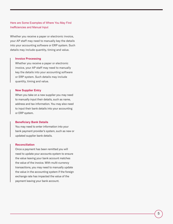#### Here are Some Examples of Where You May Find Inefficiencies and Manual Input

Whether you receive a paper or electronic invoice, your AP staff may need to manually key the details into your accounting software or ERP system. Such details may include quantity, timing and value.

#### **Invoice Processing**

Whether you receive a paper or electronic invoice, your AP staff may need to manually key the details into your accounting software or ERP system. Such details may include quantity, timing and value.

#### **New Supplier Entry**

When you take on a new supplier you may need to manually input their details, such as name, address and tax information. You may also need to input their bank details into your accounting or ERP system.

#### **Beneficiary Bank Details**

You may need to enter information into your bank payment provider's system, such as new or updated supplier bank details.

#### **Reconciliation**

Once a payment has been remitted you will need to update your accounts system to ensure the value leaving your bank account matches the value of the invoice. With multi-currency transactions, you may need to manually update the value in the accounting system if the foreign exchange rate has impacted the value of the payment leaving your bank account.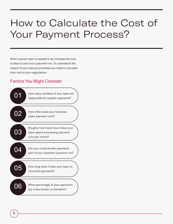# How to Calculate the Cost of Your Payment Process?

When manual input is needed it can increase the time it takes to carry out a payment run. To understand the impact of your manual processes you need to calculate their cost to your organization.

#### Factors You Might Consider

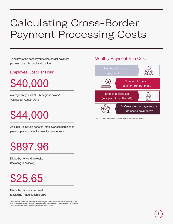# Calculating Cross-Border Payment Processing Costs

To estimate the cost of your cross-border payment process, use this rough calculation:

#### Employee Cost Per Hour

\$40,000

Average entry-level AP Clerk gross salary\* \*Glassdoor August 2018

# \$44,000

Add 10% to include benefits (employer contributions to pension plans, unemployment insurance, etc)

# \$897.96

Divide by 49 working weeks (factoring in holidays)

# \$25.65

Divide by 35 hours per week (excluding 1-hour lunch breaks)

Note: These numbers are estimates intended to give a broad indication of costs involved rather than an accurate, detailed account. These amounts are based on a Canadian data. US numbers would be different, but the basic situation would be the same.

#### Monthly Payment Run Cost



\*\*If your cross-border payments are part of your domestic payment run.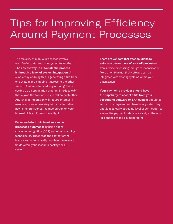# Tips for Improving Efficiency Around Payment Processes

The majority of manual processes involve transferring data from one system to another. **The easiest way to automate the process is through a level of system integration.** A simple way of doing this is generating a file from one system and mapping it across to the other system. A more advanced way of doing this is setting up an application program interface (API) that allows the two systems to talk to each other. Any level of integration will require internal IT resource, however working with an alternative payments provider can reduce burden on your internal IT team if resource is tight.

**Paper and electronic invoices can be processed automatically** using optical character recognition (OCR) and other scanning technologies. These read the content of the invoice and automatically populate the relevant fields within your accounts package or ERP system.

**There are vendors that offer solutions to automate one or more of your AP processes** from invoice processing through to reconciliation. More often than not their software can be integrated with existing systems within your organization.

**Your payments provider should have the capability to accept a file from your accounting software or ERP system** populated with all the payment and beneficiary data. They should also carry out some level of verification to ensure the payment details are valid, so there is less chance of the payment failing.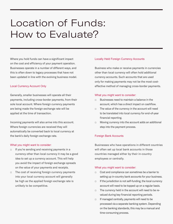# Location of Funds: How to Evaluate?

Where you hold funds can have a significant impact on the cost and efficiency of your payment operation. Businesses operate in a number of different ways, and this is often down to legacy processes that have not been updated in line with the evolving business model.

#### Local Currency Account Only

Generally, smaller businesses will operate all their payments, including cross-border payments, from their sole local account. Where foreign currency payments are being made the foreign exchange rate will be applied at the time of transaction.

Incoming payments will also arrive into this account. Where foreign currencies are received they will automatically be converted back to local currency at the bank's daily foreign exchange rate.

#### What you might want to consider:

- □ If you're sending and receiving payments in a currency other than local currency it may be a good idea to set up a currency account. This will help you avoid the impact of foreign exchange spreads on the value of your payments and receipts.
- □ The cost of receiving foreign currency payments into your local currency account will generally be high as the applied foreign exchange rate is unlikely to be competitive.

#### Locally Held Foreign Currency Accounts

Business who make or receive payments in currencies other than local currency will often hold additional currency accounts. Such accounts that are used only for making payments may not be the most costeffective method of managing cross-border payments.

#### What you might want to consider:

- □ Businesses need to maintain a balance in the account, which has a direct impact on cashflow.
- □ The value of the currency in the account will need to be translated into local currency for end-of-year financial reporting.
- □ Moving currency into the account adds an additional step into the payment process.

#### Foreign Bank Accounts

Businesses who have operations in different countries will often set up local bank accounts in those countries managed either by their in-country employees or centrally.

#### What you might want to consider:

- □ Cost and compliance can sometimes be a barrier to setting up in-country bank accounts for your business.
- $\Box$  If the jurisdiction is not self-funding, the local currency account will need to be topped up on a regular basis.
- □ The currency held in the account will need to be revalued during key financial reporting periods.
- □ If managed centrally, payments will need to be processed via a separate banking system. Depending on the banking standards, this may be a manual and time-consuming process.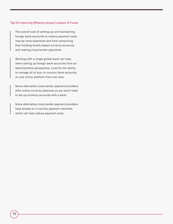#### Tips for Improving Efficiency Around Location of Funds

The overall cost of setting up and maintaining foreign bank accounts to reduce payment costs may be more expensive and time-consuming than holding locally based currency accounts and making cross-border payments.

Working with a single global bank can help when setting up foreign bank accounts from an administrative perspective. Look for the ability to manage all of your in-country bank accounts on one online platform from one view.

Some alternative cross-border payment providers offer online currency balances so you won't need to set up currency accounts with a bank.

Some alternative cross-border payment providers have access to in-country payment networks, which can help reduce payment costs.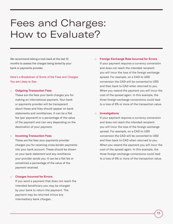# Fees and Charges: How to Evaluate?

We recommend taking a look back at the last 12 months to assess the charges being levied by your bank or payments provider.

#### Here's a Breakdown of Some of the Fees and Charges You are Likely to See

#### □ **Outgoing Transaction Fees**

These are the fees your bank charges you for making an international payment. Your bank or payments provider will be transparent about these and they should appear on bank statements and remittances. It can be a flat fee (per payment) or a percentage of the value of the payment and can vary depending on the destination of your payment.

#### □ **Incoming Transaction Fees**

These are the fees your payments provider charges you for receiving cross-border payments into your bank account. These should be shown on your bank statement and any remittance your provider sends you. It can be a flat fee or sometimes a percentage of the value of the payment received.

#### □ **Charges Incurred for Errors**

If you send a payment that does not reach the intended beneficiary you may be charged by your bank to return the payment. The payment may be returned minus any intermediary bank charges.

#### □ **Foreign Exchange Rate Incurred for Errors**

If your payment requires a currency conversion and does not reach the intended recipient you will incur the loss of the foreign exchange spread. For example, on a CAD to USD conversion the CAD will be converted to USD and then back to CAD when returned to you. When you resend the payment you will incur the cost of the spread again. In this example, the three foreign exchange conversions could lead to a loss of 6% or more of the transaction value.

#### □ **Investigations**

If your payment requires a currency conversion and does not reach the intended recipient you will incur the loss of the foreign exchange spread. For example, on a CAD to USD conversion the CAD will be converted to USD and then back to CAD when returned to you. When you resend the payment you will incur the cost of the spread again. In this example, the three foreign exchange conversions could lead to a loss of 6% or more of the transaction value.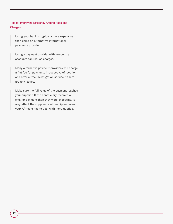Tips for Improving Efficiency Around Fees and **Charges** 

Using your bank is typically more expensive than using an alternative international payments provider.

Using a payment provider with in-country accounts can reduce charges.

Many alternative payment providers will charge a flat fee for payments irrespective of location and offer a free investigation service if there are any issues.

Make sure the full value of the payment reaches your supplier. If the beneficiary receives a smaller payment than they were expecting, it may affect the supplier relationship and mean your AP team has to deal with more queries.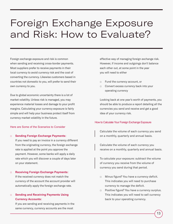# Foreign Exchange Exposure and Risk: How to Evaluate?

Foreign exchange exposure and risk is common when sending and receiving cross-border payments. Most suppliers prefer to receive payments in their local currency to avoid currency risk and the cost of converting the currency. Likewise customers based in countries not domestic to you, will prefer to send their own currency to you.

Due to global economic uncertainty there is a lot of market volatility. Unless risk is managed, you may experience material losses and damage to your profit margins. Calculating your currency exposure is fairly simple and will help your business protect itself from currency market volatility in the future.

#### Here are Some of the Scenarios to Consider

#### □ **Sending Foreign Exchange Payments:**

If you need to pay an invoice in a currency different from the originating currency, the foreign exchange rate is applied at the point you approve the payment. However, some banks will apply a daily rate which you will discover a couple of days later on your statement.

#### □ **Receiving Foreign Exchange Payments:**

If the received currency does not match the currency of the account the account provider will automatically apply the foreign exchange rate.

#### □ **Sending and Receiving Payments Using Currency Accounts:**

If you are sending and receiving payments in the same currency, currency accounts are the most

effective way of managing foreign exchange risk. However, if income and outgoings don't balance each other out, at some point in the year you will need to either

- □ Fund the currency account, or
- □ Convert excess currency back into your operating currency

Looking back at one year's worth of payments, you should be able to produce a report detailing all the currencies you send and receive and get a good idea of your currency risk.

#### How to Calculate Your Foreign Exchange Exposure

Calculate the volume of each currency you send on a monthly, quarterly and annual basis.

Calculate the volume of each currency you receive on a monthly, quarterly and annual basis.

To calculate your exposure: subtract the volume of currency you receive from the volume of currency you send during that period.

- □ Minus figure? You have a currency deficit. This indicates you will need to purchase currency to manage the deficit.
- □ Positive figure? You have a currency surplus. This indicates you will need to sell currency back to your operating currency.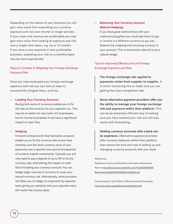Depending on the nature of your business you will gain more value from evaluating your currency exposure and risk over shorter or longer periods. If your costs and revenue are predictable you may gain more value from looking at exposure and risk over a longer-term basis, e.g. six or 12 months. If you have a very seasonal or less predictable business, assessing your risk on a monthly basis may be more appropriate.

#### Ways to Consider to Mitigating Your Foreign Exchange Exposure Risk

Once you have evaluated your foreign exchange exposure and risk you can look at ways to successfully mitigate them, such as:

#### □ **Loading Your Currency Account:**

Buying bulk sums of currency enables you to fix the rate on the currency for your payment run. This may be an option for very cash-rich businesses, but for normal businesses it can have a significant impact on cash flow.

#### □ **Hedging:**

Forward contracts and other derivative products enable you to fix the currency rate so you have certainty over the local currency value of your payments over a specific time period (irrespective of currency market movements). Typically you will only need to pay a deposit of up to 5% to fix the currency rate, diminishing the impact on cash flow of loading your currency account. You can hedge larger volumes of currency to cover your annual currency risk. Alternatively, some providers will allow you to hedge on a payment-by-payment basis giving you certainty that your payment value will match the invoice value.

#### □ **Balancing Your Currency Account (Natural Hedging):**

If you have good relationships with your customers/suppliers you could ask them to pay or invoice in a different currency so you can balance the outgoing and incoming currency in your account. This is sometimes referred to as a natural hedge.

#### Tips for Improving Efficiency Around Foreign Exchange Exposure and Risk

**The foreign exchange rate applied to payments varies from supplier to supplier.** It is worth monitoring this to make sure you are getting the most competitive rate.

**Some alternative payment providers offer you the ability to manage your foreign exchange risk and exposure within their platform.** This can be an extremely efficient way of making sure you have covered your risk and will also assist with forecasting.

**Holding currency accounts with a bank can be expensive.** Alternative payment providers offer currency balances within their platform that remove the time and cost of setting up and managing currency accounts with your bank.

#### References:

PayStream Invoice and Workflow Automation Benchmark Report: [http://downloads.tradeshift.com/Final%20IWA%20](http://downloads.tradeshift.com/Final%20IWA%20Benchmarking%202013%208.30.13%20(1).pdf ) [Benchmarking%202013%208.30.13%20\(1\).pdf](http://downloads.tradeshift.com/Final%20IWA%20Benchmarking%202013%208.30.13%20(1).pdf )

Overcoming the Top Pitfalls of Manual Invoice Processing: <http://www.aiim.org/pdfdocuments/pitfalls.pdf>